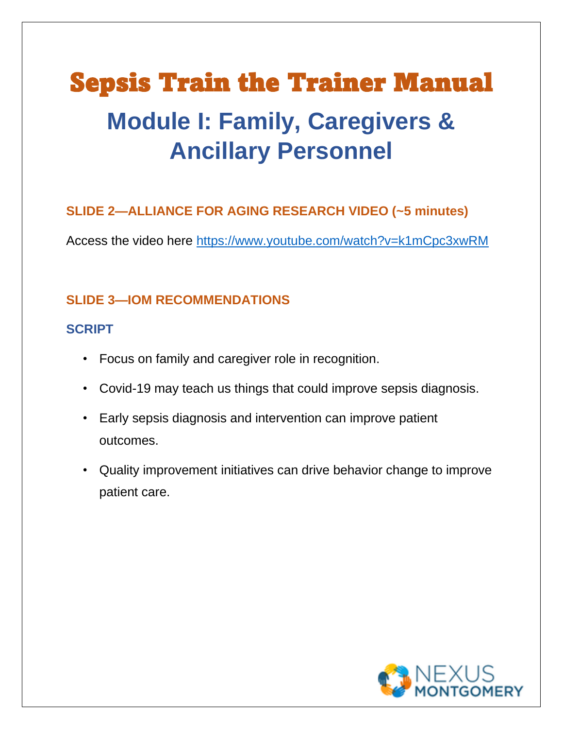# Sepsis Train the Trainer Manual **Module I: Family, Caregivers & Ancillary Personnel**

## **SLIDE 2—ALLIANCE FOR AGING RESEARCH VIDEO (~5 minutes)**

Access the video here [https://www.youtube.com/watch?v=k1mCpc3xwRM](about:blank)

### **SLIDE 3—IOM RECOMMENDATIONS**

#### **SCRIPT**

- Focus on family and caregiver role in recognition.
- Covid-19 may teach us things that could improve sepsis diagnosis.
- Early sepsis diagnosis and intervention can improve patient outcomes.
- Quality improvement initiatives can drive behavior change to improve patient care.

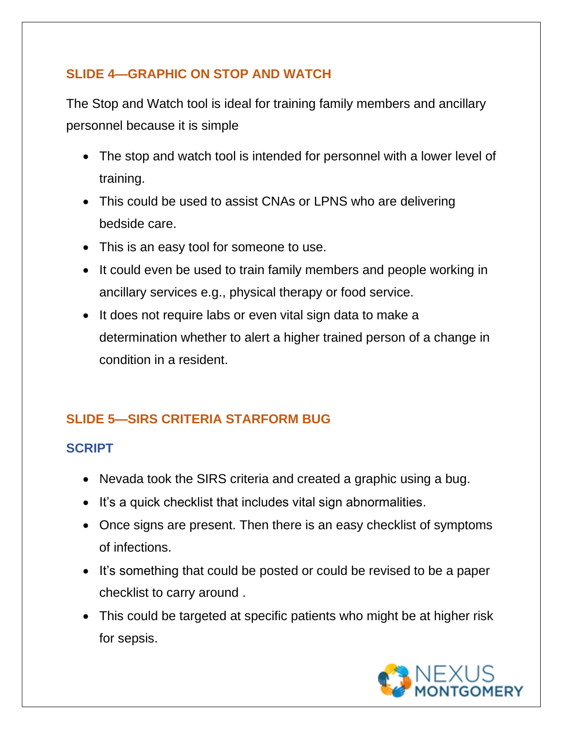#### **SLIDE 4—GRAPHIC ON STOP AND WATCH**

The Stop and Watch tool is ideal for training family members and ancillary personnel because it is simple

- The stop and watch tool is intended for personnel with a lower level of training.
- This could be used to assist CNAs or LPNS who are delivering bedside care.
- This is an easy tool for someone to use.
- It could even be used to train family members and people working in ancillary services e.g., physical therapy or food service.
- It does not require labs or even vital sign data to make a determination whether to alert a higher trained person of a change in condition in a resident.

# **SLIDE 5—SIRS CRITERIA STARFORM BUG**

#### **SCRIPT**

- Nevada took the SIRS criteria and created a graphic using a bug.
- It's a quick checklist that includes vital sign abnormalities.
- Once signs are present. Then there is an easy checklist of symptoms of infections.
- It's something that could be posted or could be revised to be a paper checklist to carry around .
- This could be targeted at specific patients who might be at higher risk for sepsis.

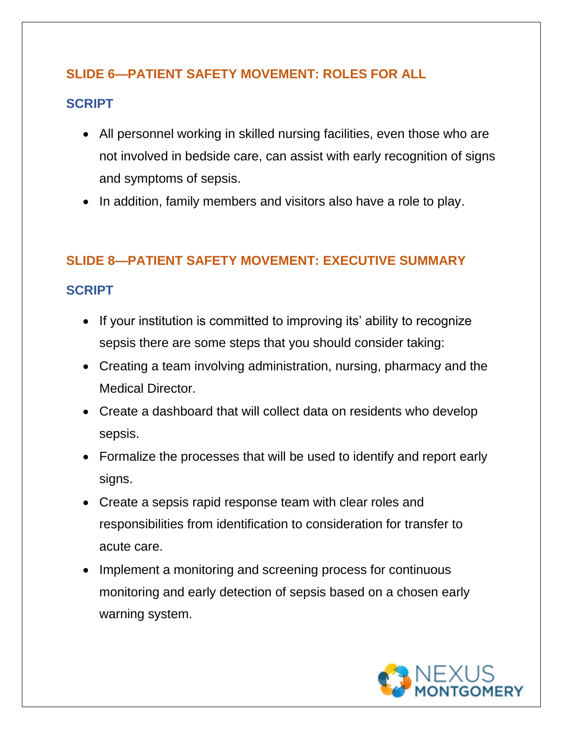#### **SLIDE 6—PATIENT SAFETY MOVEMENT: ROLES FOR ALL**

#### **SCRIPT**

- All personnel working in skilled nursing facilities, even those who are not involved in bedside care, can assist with early recognition of signs and symptoms of sepsis.
- In addition, family members and visitors also have a role to play.

#### **SLIDE 8—PATIENT SAFETY MOVEMENT: EXECUTIVE SUMMARY**

#### **SCRIPT**

- If your institution is committed to improving its' ability to recognize sepsis there are some steps that you should consider taking:
- Creating a team involving administration, nursing, pharmacy and the Medical Director.
- Create a dashboard that will collect data on residents who develop sepsis.
- Formalize the processes that will be used to identify and report early signs.
- Create a sepsis rapid response team with clear roles and responsibilities from identification to consideration for transfer to acute care.
- Implement a monitoring and screening process for continuous monitoring and early detection of sepsis based on a chosen early warning system.

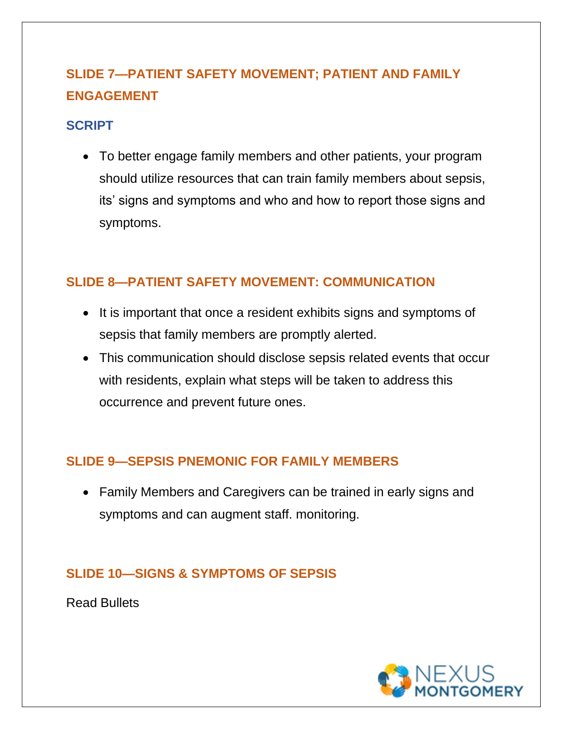# **SLIDE 7—PATIENT SAFETY MOVEMENT; PATIENT AND FAMILY ENGAGEMENT**

#### **SCRIPT**

• To better engage family members and other patients, your program should utilize resources that can train family members about sepsis, its' signs and symptoms and who and how to report those signs and symptoms.

#### **SLIDE 8—PATIENT SAFETY MOVEMENT: COMMUNICATION**

- It is important that once a resident exhibits signs and symptoms of sepsis that family members are promptly alerted.
- This communication should disclose sepsis related events that occur with residents, explain what steps will be taken to address this occurrence and prevent future ones.

#### **SLIDE 9—SEPSIS PNEMONIC FOR FAMILY MEMBERS**

• Family Members and Caregivers can be trained in early signs and symptoms and can augment staff. monitoring.

## **SLIDE 10—SIGNS & SYMPTOMS OF SEPSIS**

Read Bullets